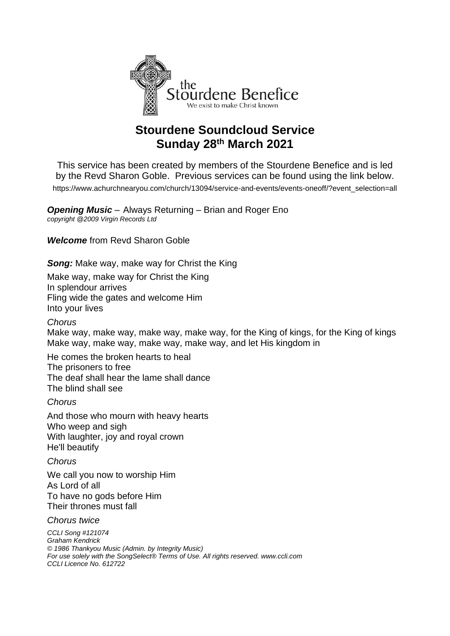

# **Stourdene Soundcloud Service Sunday 28 th March 2021**

This service has been created by members of the Stourdene Benefice and is led by the Revd Sharon Goble. Previous services can be found using the link below. [https://www.achurchnearyou.com/church/13094/service-and-events/events-oneoff/?event\\_selection=all](https://www.achurchnearyou.com/church/13094/service-and-events/events-oneoff/?event_selection=all)

*Opening Music* – Always Returning – Brian and Roger Eno *copyright @2009 Virgin Records Ltd*

*Welcome* from Revd Sharon Goble

*Song:* Make way, make way for Christ the King

Make way, make way for Christ the King In splendour arrives Fling wide the gates and welcome Him Into your lives

## *Chorus*

Make way, make way, make way, make way, for the King of kings, for the King of kings Make way, make way, make way, make way, and let His kingdom in

He comes the broken hearts to heal The prisoners to free The deaf shall hear the lame shall dance The blind shall see

*Chorus*

And those who mourn with heavy hearts Who weep and sigh With laughter, joy and royal crown He'll beautify

## *Chorus*

We call you now to worship Him As Lord of all To have no gods before Him Their thrones must fall

#### *Chorus twice*

*CCLI Song #121074 Graham Kendrick © 1986 Thankyou Music (Admin. by Integrity Music) For use solely with the SongSelect® Terms of Use. All rights reserved. www.ccli.com CCLI Licence No. 612722*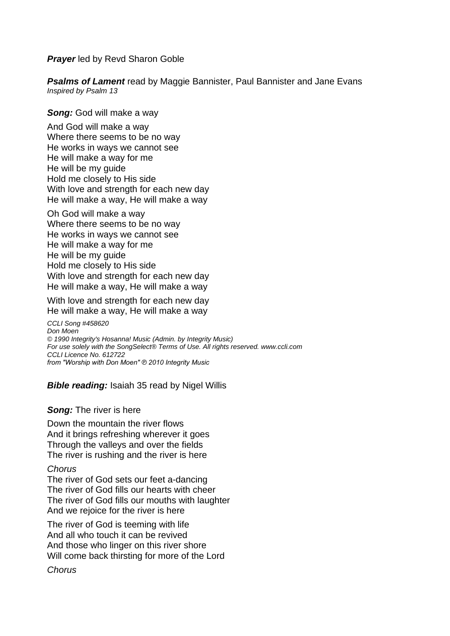### *Prayer* led by Revd Sharon Goble

**Psalms of Lament** read by Maggie Bannister, Paul Bannister and Jane Evans *Inspired by Psalm 13*

#### *Song:* God will make a way

And God will make a way Where there seems to be no way He works in ways we cannot see He will make a way for me He will be my guide Hold me closely to His side With love and strength for each new day He will make a way, He will make a way

Oh God will make a way Where there seems to be no way He works in ways we cannot see He will make a way for me He will be my guide Hold me closely to His side With love and strength for each new day He will make a way, He will make a way

#### With love and strength for each new day He will make a way, He will make a way

*CCLI Song #458620 Don Moen © 1990 Integrity's Hosanna! Music (Admin. by Integrity Music) For use solely with the SongSelect® Terms of Use. All rights reserved. www.ccli.com CCLI Licence No. 612722 from "Worship with Don Moen" ℗ 2010 Integrity Music*

## *Bible reading:* Isaiah 35 read by Nigel Willis

#### *Song:* The river is here

Down the mountain the river flows And it brings refreshing wherever it goes Through the valleys and over the fields The river is rushing and the river is here

#### *Chorus*

The river of God sets our feet a-dancing The river of God fills our hearts with cheer The river of God fills our mouths with laughter And we rejoice for the river is here

The river of God is teeming with life And all who touch it can be revived And those who linger on this river shore Will come back thirsting for more of the Lord

#### *Chorus*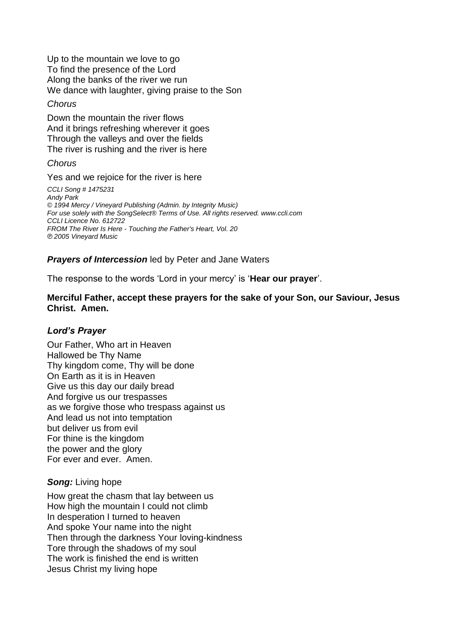Up to the mountain we love to go To find the presence of the Lord Along the banks of the river we run We dance with laughter, giving praise to the Son

#### *Chorus*

Down the mountain the river flows And it brings refreshing wherever it goes Through the valleys and over the fields The river is rushing and the river is here

#### *Chorus*

Yes and we rejoice for the river is here

*CCLI Song # 1475231 Andy Park © 1994 Mercy / Vineyard Publishing (Admin. by Integrity Music) For use solely with the SongSelect® Terms of Use. All rights reserved. www.ccli.com CCLI Licence No. 612722 FROM The River Is Here - Touching the Father's Heart, Vol. 20 ℗ 2005 Vineyard Music*

## *Prayers of Intercession* led by Peter and Jane Waters

The response to the words 'Lord in your mercy' is '**Hear our prayer**'.

### **Merciful Father, accept these prayers for the sake of your Son, our Saviour, Jesus Christ. Amen.**

#### *Lord's Prayer*

Our Father, Who art in Heaven Hallowed be Thy Name Thy kingdom come, Thy will be done On Earth as it is in Heaven Give us this day our daily bread And forgive us our trespasses as we forgive those who trespass against us And lead us not into temptation but deliver us from evil For thine is the kingdom the power and the glory For ever and ever. Amen.

## *Song:* Living hope

How great the chasm that lay between us How high the mountain I could not climb In desperation I turned to heaven And spoke Your name into the night Then through the darkness Your loving-kindness Tore through the shadows of my soul The work is finished the end is written Jesus Christ my living hope